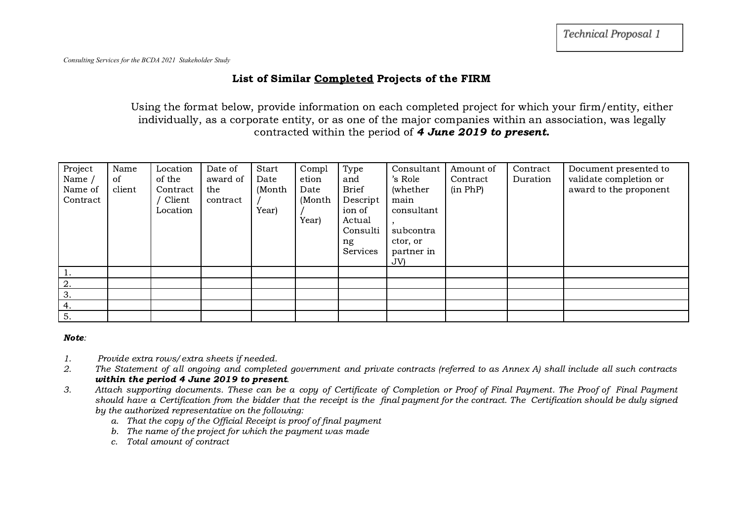## List of Similar Completed Projects of the FIRM

Using the format below, provide information on each completed project for which your firm/entity, either individually, as a corporate entity, or as one of the major companies within an association, was legally contracted within the period of 4 June 2019 to present.

| Project<br>Name /<br>Name of<br>Contract | Name<br>of<br>client | Location<br>of the<br>Contract<br>Client<br>Location | Date of<br>award of<br>the<br>contract | Start<br>Date<br>(Month<br>Year) | Compl<br>etion<br>Date<br>(Month<br>Year) | Type<br>and<br><b>Brief</b><br>Descript<br>ion of<br>Actual<br>Consulti<br>ng<br><b>Services</b> | Consultant<br>'s Role<br>(whether)<br>main<br>consultant<br>subcontra<br>ctor, or<br>partner in<br>JV | Amount of<br>Contract<br>(in PhP) | Contract<br>Duration | Document presented to<br>validate completion or<br>award to the proponent |
|------------------------------------------|----------------------|------------------------------------------------------|----------------------------------------|----------------------------------|-------------------------------------------|--------------------------------------------------------------------------------------------------|-------------------------------------------------------------------------------------------------------|-----------------------------------|----------------------|---------------------------------------------------------------------------|
|                                          |                      |                                                      |                                        |                                  |                                           |                                                                                                  |                                                                                                       |                                   |                      |                                                                           |
| 2.                                       |                      |                                                      |                                        |                                  |                                           |                                                                                                  |                                                                                                       |                                   |                      |                                                                           |
| 3.                                       |                      |                                                      |                                        |                                  |                                           |                                                                                                  |                                                                                                       |                                   |                      |                                                                           |
| 4.                                       |                      |                                                      |                                        |                                  |                                           |                                                                                                  |                                                                                                       |                                   |                      |                                                                           |
| 5.                                       |                      |                                                      |                                        |                                  |                                           |                                                                                                  |                                                                                                       |                                   |                      |                                                                           |

## Note:

- 1. Provide extra rows/extra sheets if needed.
- 2. The Statement of all ongoing and completed government and private contracts (referred to as Annex A) shall include all such contracts within the period 4 June 2019 to present.
- 3. Attach supporting documents. These can be a copy of Certificate of Completion or Proof of Final Payment. The Proof of Final Payment should have a Certification from the bidder that the receipt is the final payment for the contract. The Certification should be duly signed by the authorized representative on the following:
	- a. That the copy of the Official Receipt is proof of final payment
	- b. The name of the project for which the payment was made
	- c. Total amount of contract